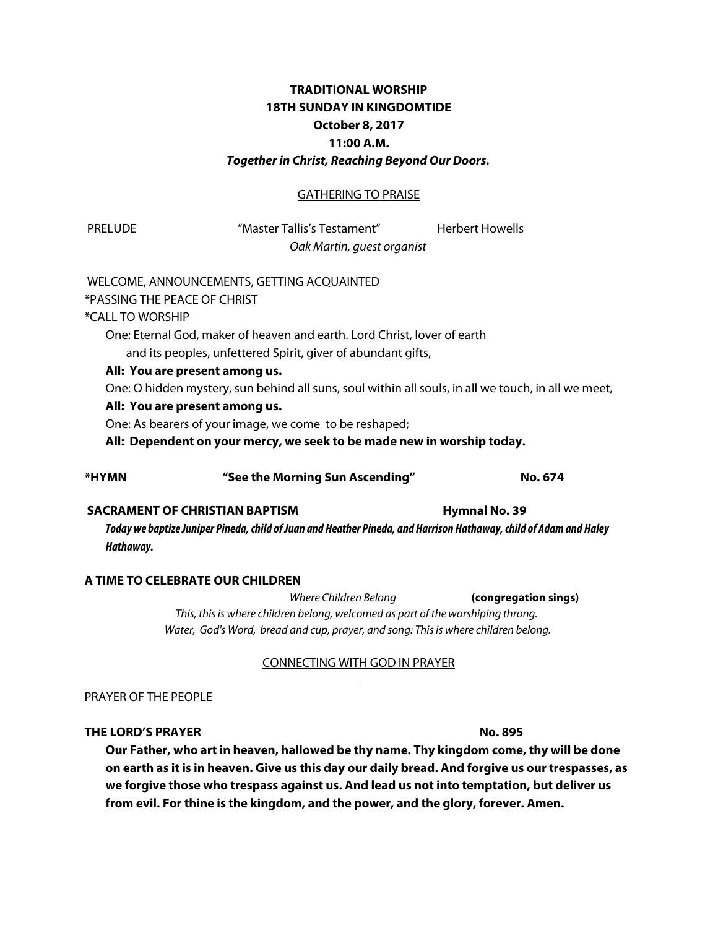# **TRADITIONAL WORSHIP 18TH SUNDAY IN KINGDOMTIDE October 8, 2017 11:00 A.M.** *Together in Christ, Reaching Beyond Our Doors.*

### GATHERING TO PRAISE

 PRELUDE "Master Tallis's Testament" Herbert Howells *Oak Martin, guest organist*

#### WELCOME, ANNOUNCEMENTS, GETTING ACQUAINTED

\*PASSING THE PEACE OF CHRIST

## \*CALL TO WORSHIP

One: Eternal God, maker of heaven and earth. Lord Christ, lover of earth and its peoples, unfettered Spirit, giver of abundant gifts,

#### **All: You are present among us.**

One: O hidden mystery, sun behind all suns, soul within all souls, in all we touch, in all we meet,

#### **All: You are present among us.**

One: As bearers of your image, we come to be reshaped;

**All: Dependent on your mercy, we seek to be made new in worship today.**

# **\*HYMN "See the Morning Sun Ascending" No. 674**

# **SACRAMENT OF CHRISTIAN BAPTISM FOR A SET AND HYMNAL NO. 39**

*Today we baptize Juniper Pineda, child of Juan and Heather Pineda, and Harrison Hathaway, child of Adam and Haley Hathaway.*

# **A TIME TO CELEBRATE OUR CHILDREN**

 *Where Children Belong* **(congregation sings)** *This, this is where children belong, welcomed as part of the worshiping throng. Water, God's Word, bread and cup, prayer, and song: This is where children belong.*

#### CONNECTING WITH GOD IN PRAYER

#### PRAYER OF THE PEOPLE

#### **THE LORD'S PRAYER No. 895**

**Our Father, who art in heaven, hallowed be thy name. Thy kingdom come, thy will be done on earth as it is in heaven. Give us this day our daily bread. And forgive us our trespasses, as we forgive those who trespass against us. And lead us not into temptation, but deliver us from evil. For thine is the kingdom, and the power, and the glory, forever. Amen.**